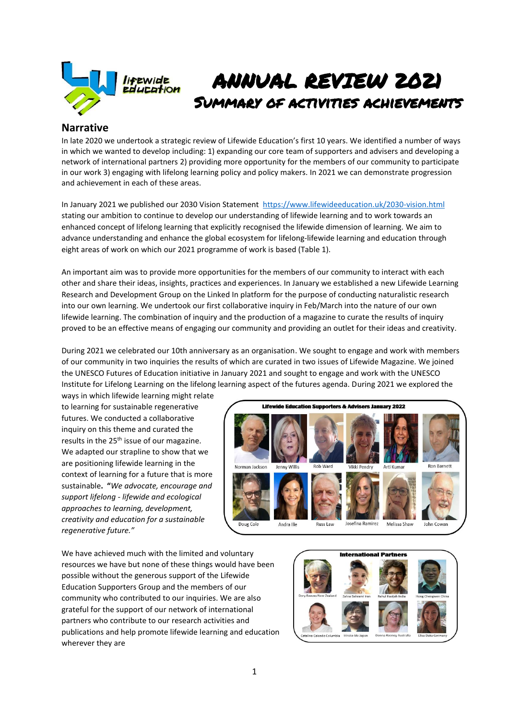

# ANNUAL REVIEW 2021 Summary of activities achievements

#### **Narrative**

In late 2020 we undertook a strategic review of Lifewide Education's first 10 years. We identified a number of ways in which we wanted to develop including: 1) expanding our core team of supporters and advisers and developing a network of international partners 2) providing more opportunity for the members of our community to participate in our work 3) engaging with lifelong learning policy and policy makers. In 2021 we can demonstrate progression and achievement in each of these areas.

In January 2021 we published our 2030 Vision Statement<https://www.lifewideeducation.uk/2030-vision.html> stating our ambition to continue to develop our understanding of lifewide learning and to work towards an enhanced concept of lifelong learning that explicitly recognised the lifewide dimension of learning. We aim to advance understanding and enhance the global ecosystem for lifelong-lifewide learning and education through eight areas of work on which our 2021 programme of work is based (Table 1).

An important aim was to provide more opportunities for the members of our community to interact with each other and share their ideas, insights, practices and experiences. In January we established a new Lifewide Learning Research and Development Group on the Linked In platform for the purpose of conducting naturalistic research into our own learning. We undertook our first collaborative inquiry in Feb/March into the nature of our own lifewide learning. The combination of inquiry and the production of a magazine to curate the results of inquiry proved to be an effective means of engaging our community and providing an outlet for their ideas and creativity.

During 2021 we celebrated our 10th anniversary as an organisation. We sought to engage and work with members of our community in two inquiries the results of which are curated in two issues of Lifewide Magazine. We joined the UNESCO Futures of Education initiative in January 2021 and sought to engage and work with the UNESCO Institute for Lifelong Learning on the lifelong learning aspect of the futures agenda. During 2021 we explored the

ways in which lifewide learning might relate to learning for sustainable regenerative futures. We conducted a collaborative inquiry on this theme and curated the results in the 25<sup>th</sup> issue of our magazine. We adapted our strapline to show that we are positioning lifewide learning in the context of learning for a future that is more sustainable**. "***We advocate, encourage and support lifelong - lifewide and ecological approaches to learning, development, creativity and education for a sustainable regenerative future."*



We have achieved much with the limited and voluntary resources we have but none of these things would have been possible without the generous support of the Lifewide Education Supporters Group and the members of our community who contributed to our inquiries. We are also grateful for the support of our network of international partners who contribute to our research activities and publications and help promote lifewide learning and education wherever they are

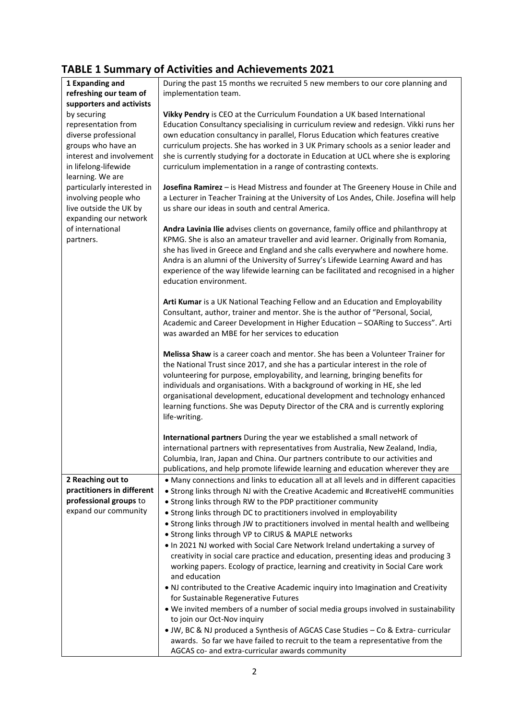## **TABLE 1 Summary of Activities and Achievements 2021**

|                            | TABLE I Summary of Activities and Achievements 2021                                                |
|----------------------------|----------------------------------------------------------------------------------------------------|
| 1 Expanding and            | During the past 15 months we recruited 5 new members to our core planning and                      |
| refreshing our team of     | implementation team.                                                                               |
| supporters and activists   |                                                                                                    |
| by securing                | Vikky Pendry is CEO at the Curriculum Foundation a UK based International                          |
| representation from        | Education Consultancy specialising in curriculum review and redesign. Vikki runs her               |
| diverse professional       | own education consultancy in parallel, Florus Education which features creative                    |
| groups who have an         | curriculum projects. She has worked in 3 UK Primary schools as a senior leader and                 |
| interest and involvement   | she is currently studying for a doctorate in Education at UCL where she is exploring               |
| in lifelong-lifewide       | curriculum implementation in a range of contrasting contexts.                                      |
| learning. We are           |                                                                                                    |
| particularly interested in | Josefina Ramirez - is Head Mistress and founder at The Greenery House in Chile and                 |
| involving people who       | a Lecturer in Teacher Training at the University of Los Andes, Chile. Josefina will help           |
| live outside the UK by     | us share our ideas in south and central America.                                                   |
| expanding our network      |                                                                                                    |
| of international           | Andra Lavinia Ilie advises clients on governance, family office and philanthropy at                |
| partners.                  | KPMG. She is also an amateur traveller and avid learner. Originally from Romania,                  |
|                            | she has lived in Greece and England and she calls everywhere and nowhere home.                     |
|                            | Andra is an alumni of the University of Surrey's Lifewide Learning Award and has                   |
|                            | experience of the way lifewide learning can be facilitated and recognised in a higher              |
|                            | education environment.                                                                             |
|                            |                                                                                                    |
|                            | Arti Kumar is a UK National Teaching Fellow and an Education and Employability                     |
|                            | Consultant, author, trainer and mentor. She is the author of "Personal, Social,                    |
|                            | Academic and Career Development in Higher Education - SOARing to Success". Arti                    |
|                            | was awarded an MBE for her services to education                                                   |
|                            |                                                                                                    |
|                            | Melissa Shaw is a career coach and mentor. She has been a Volunteer Trainer for                    |
|                            | the National Trust since 2017, and she has a particular interest in the role of                    |
|                            | volunteering for purpose, employability, and learning, bringing benefits for                       |
|                            | individuals and organisations. With a background of working in HE, she led                         |
|                            | organisational development, educational development and technology enhanced                        |
|                            | learning functions. She was Deputy Director of the CRA and is currently exploring<br>life-writing. |
|                            |                                                                                                    |
|                            | International partners During the year we established a small network of                           |
|                            | international partners with representatives from Australia, New Zealand, India,                    |
|                            | Columbia, Iran, Japan and China. Our partners contribute to our activities and                     |
|                            | publications, and help promote lifewide learning and education wherever they are                   |
| 2 Reaching out to          | . Many connections and links to education all at all levels and in different capacities            |
| practitioners in different | • Strong links through NJ with the Creative Academic and #creativeHE communities                   |
| professional groups to     | • Strong links through RW to the PDP practitioner community                                        |
| expand our community       | • Strong links through DC to practitioners involved in employability                               |
|                            | • Strong links through JW to practitioners involved in mental health and wellbeing                 |
|                            | • Strong links through VP to CIRUS & MAPLE networks                                                |
|                            | . In 2021 NJ worked with Social Care Network Ireland undertaking a survey of                       |
|                            | creativity in social care practice and education, presenting ideas and producing 3                 |
|                            | working papers. Ecology of practice, learning and creativity in Social Care work                   |
|                            | and education                                                                                      |
|                            | . NJ contributed to the Creative Academic inquiry into Imagination and Creativity                  |
|                            | for Sustainable Regenerative Futures                                                               |
|                            | . We invited members of a number of social media groups involved in sustainability                 |
|                            | to join our Oct-Nov inquiry                                                                        |
|                            | • JW, BC & NJ produced a Synthesis of AGCAS Case Studies - Co & Extra-curricular                   |
|                            | awards. So far we have failed to recruit to the team a representative from the                     |
|                            | AGCAS co- and extra-curricular awards community                                                    |
|                            |                                                                                                    |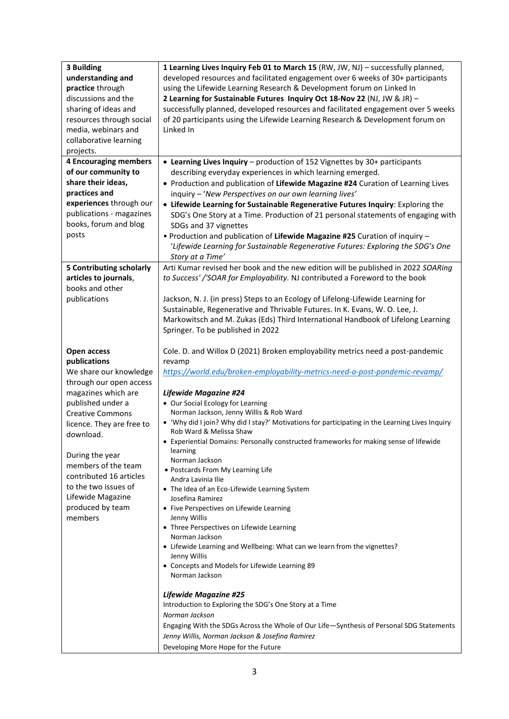| 3 Building<br>understanding and<br>practice through<br>discussions and the<br>sharing of ideas and<br>resources through social<br>media, webinars and<br>collaborative learning<br>projects.                                                                                                                                                       | 1 Learning Lives Inquiry Feb 01 to March 15 (RW, JW, NJ) - successfully planned,<br>developed resources and facilitated engagement over 6 weeks of 30+ participants<br>using the Lifewide Learning Research & Development forum on Linked In<br>2 Learning for Sustainable Futures Inquiry Oct 18-Nov 22 (NJ, JW & JR) -<br>successfully planned, developed resources and facilitated engagement over 5 weeks<br>of 20 participants using the Lifewide Learning Research & Development forum on<br>Linked In                                                                                                                                                                                                                                                                                                                                                                                                                                                             |
|----------------------------------------------------------------------------------------------------------------------------------------------------------------------------------------------------------------------------------------------------------------------------------------------------------------------------------------------------|--------------------------------------------------------------------------------------------------------------------------------------------------------------------------------------------------------------------------------------------------------------------------------------------------------------------------------------------------------------------------------------------------------------------------------------------------------------------------------------------------------------------------------------------------------------------------------------------------------------------------------------------------------------------------------------------------------------------------------------------------------------------------------------------------------------------------------------------------------------------------------------------------------------------------------------------------------------------------|
| <b>4 Encouraging members</b><br>of our community to<br>share their ideas,<br>practices and<br>experiences through our<br>publications - magazines<br>books, forum and blog<br>posts                                                                                                                                                                | • Learning Lives Inquiry - production of 152 Vignettes by 30+ participants<br>describing everyday experiences in which learning emerged.<br>• Production and publication of Lifewide Magazine #24 Curation of Learning Lives<br>inquiry - 'New Perspectives on our own learning lives'<br>• Lifewide Learning for Sustainable Regenerative Futures Inquiry: Exploring the<br>SDG's One Story at a Time. Production of 21 personal statements of engaging with<br>SDGs and 37 vignettes<br>. Production and publication of Lifewide Magazine #25 Curation of inquiry -<br>'Lifewide Learning for Sustainable Regenerative Futures: Exploring the SDG's One<br>Story at a Time'                                                                                                                                                                                                                                                                                            |
| 5 Contributing scholarly<br>articles to journals,<br>books and other<br>publications                                                                                                                                                                                                                                                               | Arti Kumar revised her book and the new edition will be published in 2022 SOARing<br>to Success' /'SOAR for Employability. NJ contributed a Foreword to the book<br>Jackson, N. J. (in press) Steps to an Ecology of Lifelong-Lifewide Learning for<br>Sustainable, Regenerative and Thrivable Futures. In K. Evans, W. O. Lee, J.<br>Markowitsch and M. Zukas (Eds) Third International Handbook of Lifelong Learning<br>Springer. To be published in 2022                                                                                                                                                                                                                                                                                                                                                                                                                                                                                                              |
| Open access<br>publications<br>We share our knowledge<br>through our open access<br>magazines which are<br>published under a<br><b>Creative Commons</b><br>licence. They are free to<br>download.<br>During the year<br>members of the team<br>contributed 16 articles<br>to the two issues of<br>Lifewide Magazine<br>produced by team<br>members | Cole. D. and Willox D (2021) Broken employability metrics need a post-pandemic<br>revamp<br>https://world.edu/broken-employability-metrics-need-a-post-pandemic-revamp/<br><b>Lifewide Magazine #24</b><br>• Our Social Ecology for Learning<br>Norman Jackson, Jenny Willis & Rob Ward<br>• 'Why did I join? Why did I stay?' Motivations for participating in the Learning Lives Inquiry<br>Rob Ward & Melissa Shaw<br>• Experiential Domains: Personally constructed frameworks for making sense of lifewide<br>learning<br>Norman Jackson<br>• Postcards From My Learning Life<br>Andra Lavinia Ilie<br>• The Idea of an Eco-Lifewide Learning System<br>Josefina Ramirez<br>• Five Perspectives on Lifewide Learning<br>Jenny Willis<br>• Three Perspectives on Lifewide Learning<br>Norman Jackson<br>• Lifewide Learning and Wellbeing: What can we learn from the vignettes?<br>Jenny Willis<br>• Concepts and Models for Lifewide Learning 89<br>Norman Jackson |
|                                                                                                                                                                                                                                                                                                                                                    | <b>Lifewide Magazine #25</b><br>Introduction to Exploring the SDG's One Story at a Time<br>Norman Jackson<br>Engaging With the SDGs Across the Whole of Our Life-Synthesis of Personal SDG Statements<br>Jenny Willis, Norman Jackson & Josefina Ramirez<br>Developing More Hope for the Future                                                                                                                                                                                                                                                                                                                                                                                                                                                                                                                                                                                                                                                                          |